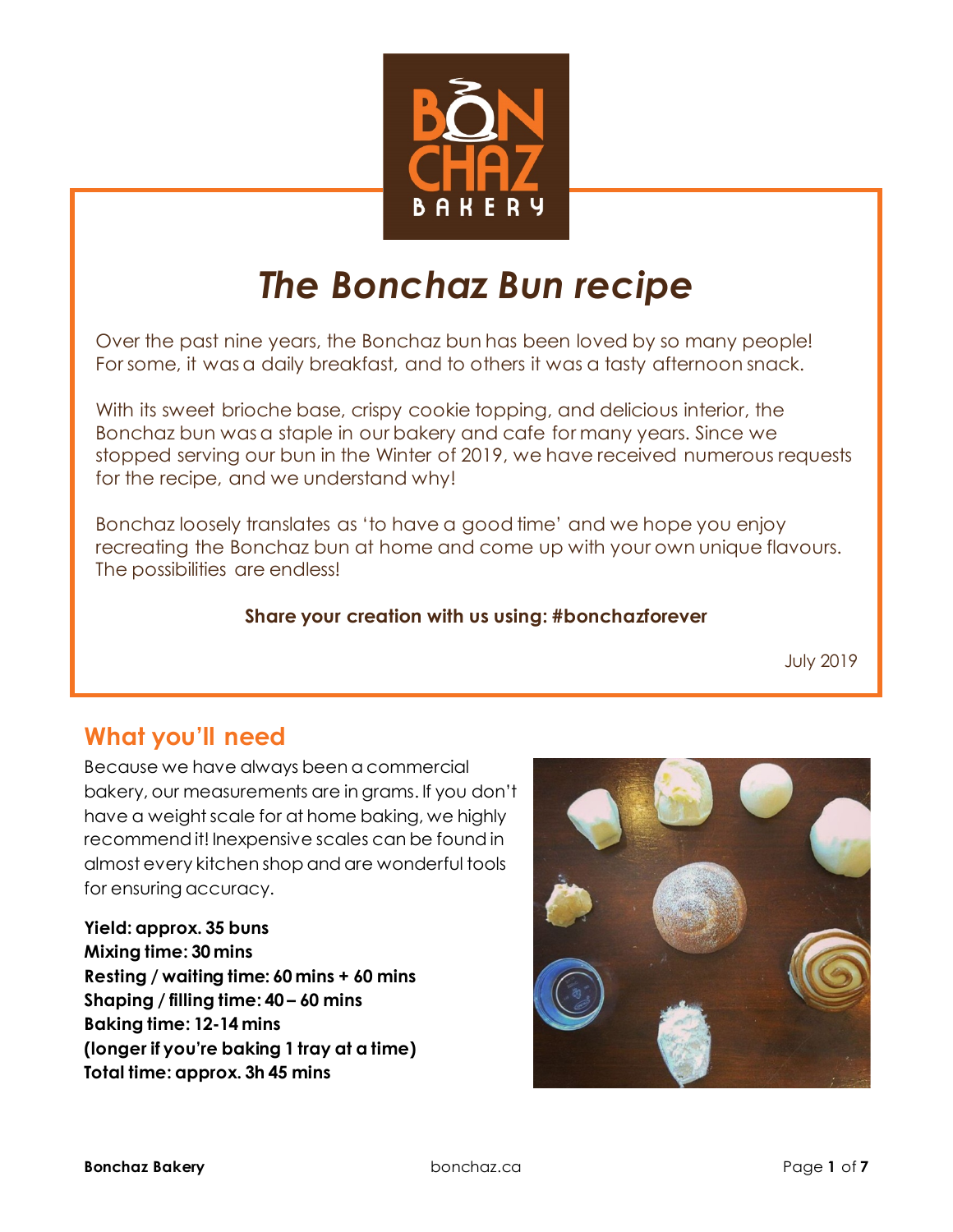

# *The Bonchaz Bun recipe*

Over the past nine years, the Bonchaz bun has been loved by so many people! For some, it was a daily breakfast, and to others it was a tasty afternoon snack.

With its sweet brioche base, crispy cookie topping, and delicious interior, the Bonchaz bun was a staple in our bakery and cafe for many years. Since we stopped serving our bun in the Winter of 2019, we have received numerous requests for the recipe, and we understand why!

Bonchaz loosely translates as 'to have a good time' and we hope you enjoy recreating the Bonchaz bun at home and come up with your own unique flavours. The possibilities are endless!

#### **Share your creation with us using: #bonchazforever**

July 2019

# **What you'll need**

Because we have always been a commercial bakery, our measurements are in grams. If you don't have a weight scale for at home baking, we highly recommend it! Inexpensive scales can be found in almost every kitchen shop and are wonderful tools for ensuring accuracy.

**Yield: approx. 35 buns Mixing time: 30 mins Resting / waiting time: 60 mins + 60 mins Shaping / filling time: 40 – 60 mins Baking time: 12-14 mins (longer if you're baking 1 tray at a time) Total time: approx. 3h 45 mins**

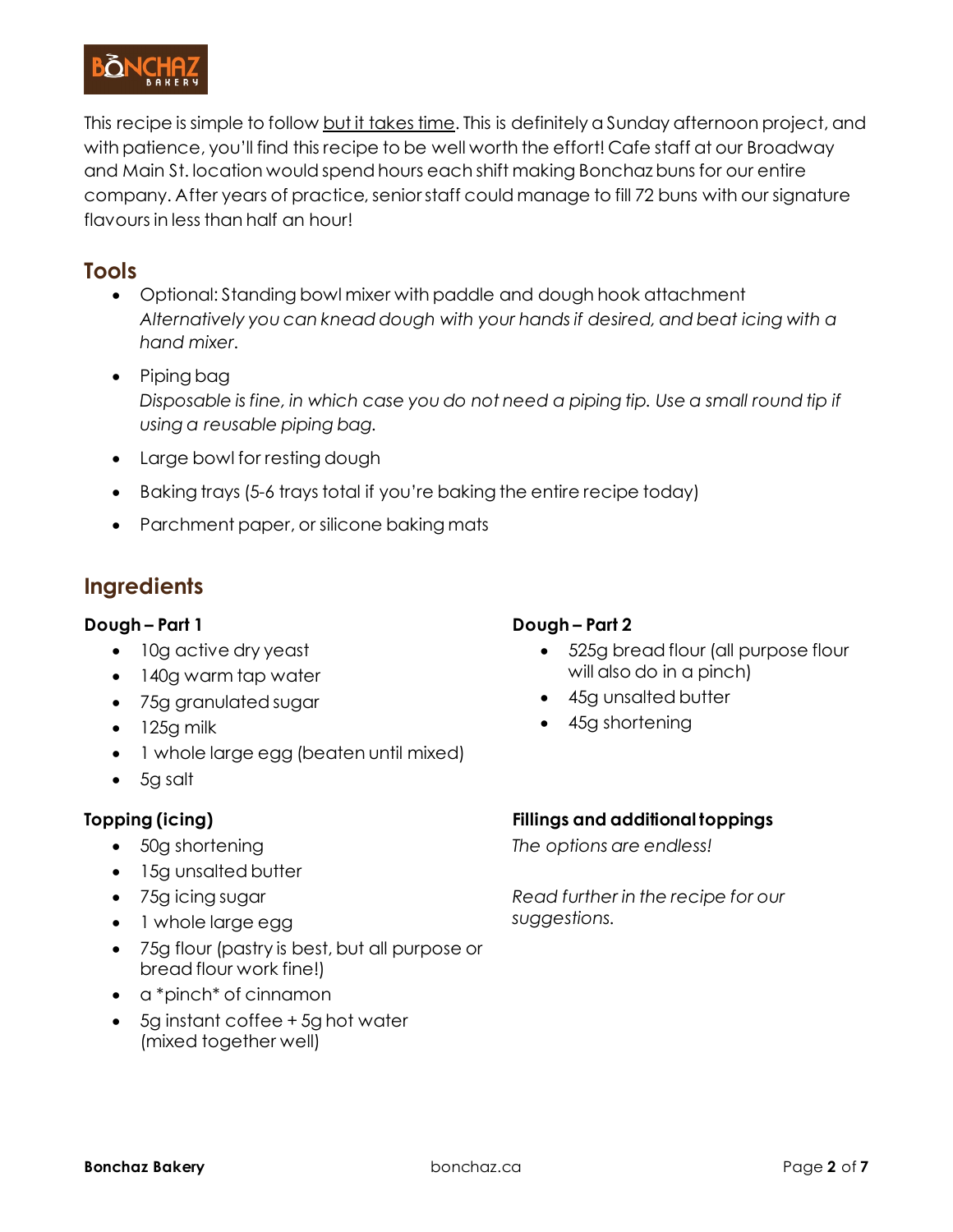

This recipe is simple to follow but it takes time. This is definitely a Sunday afternoon project, and with patience, you'll find this recipe to be well worth the effort! Cafe staff at our Broadway and Main St. location would spend hours each shift making Bonchaz buns for our entire company. After years of practice, senior staff could manage to fill 72 buns with our signature flavours in less than half an hour!

#### **Tools**

- Optional: Standing bowl mixer with paddle and dough hook attachment *Alternatively you can knead dough with your hands if desired, and beat icing with a hand mixer.*
- Piping bag *Disposable is fine, in which case you do not need a piping tip. Use a small round tip if using a reusable piping bag.*
- Large bowl for resting dough
- Baking trays (5-6 trays total if you're baking the entire recipe today)
- Parchment paper, or silicone baking mats

### **Ingredients**

#### **Dough – Part 1**

- 10g active dry yeast
- 140g warm tap water
- 75g granulated sugar
- $\bullet$  125g milk
- 1 whole large egg (beaten until mixed)
- 5g salt

#### **Topping (icing)**

- 50g shortening
- 15g unsalted butter
- 75g icing sugar
- 1 whole large egg
- 75g flour (pastry is best, but all purpose or bread flour work fine!)
- a \*pinch\* of cinnamon
- 5g instant coffee + 5g hot water (mixed together well)

#### **Dough – Part 2**

- 525g bread flour (all purpose flour will also do in a pinch)
- 45g unsalted butter
- 45g shortening

#### **Fillings and additional toppings**

*The options are endless!* 

*Read further in the recipe for our suggestions.*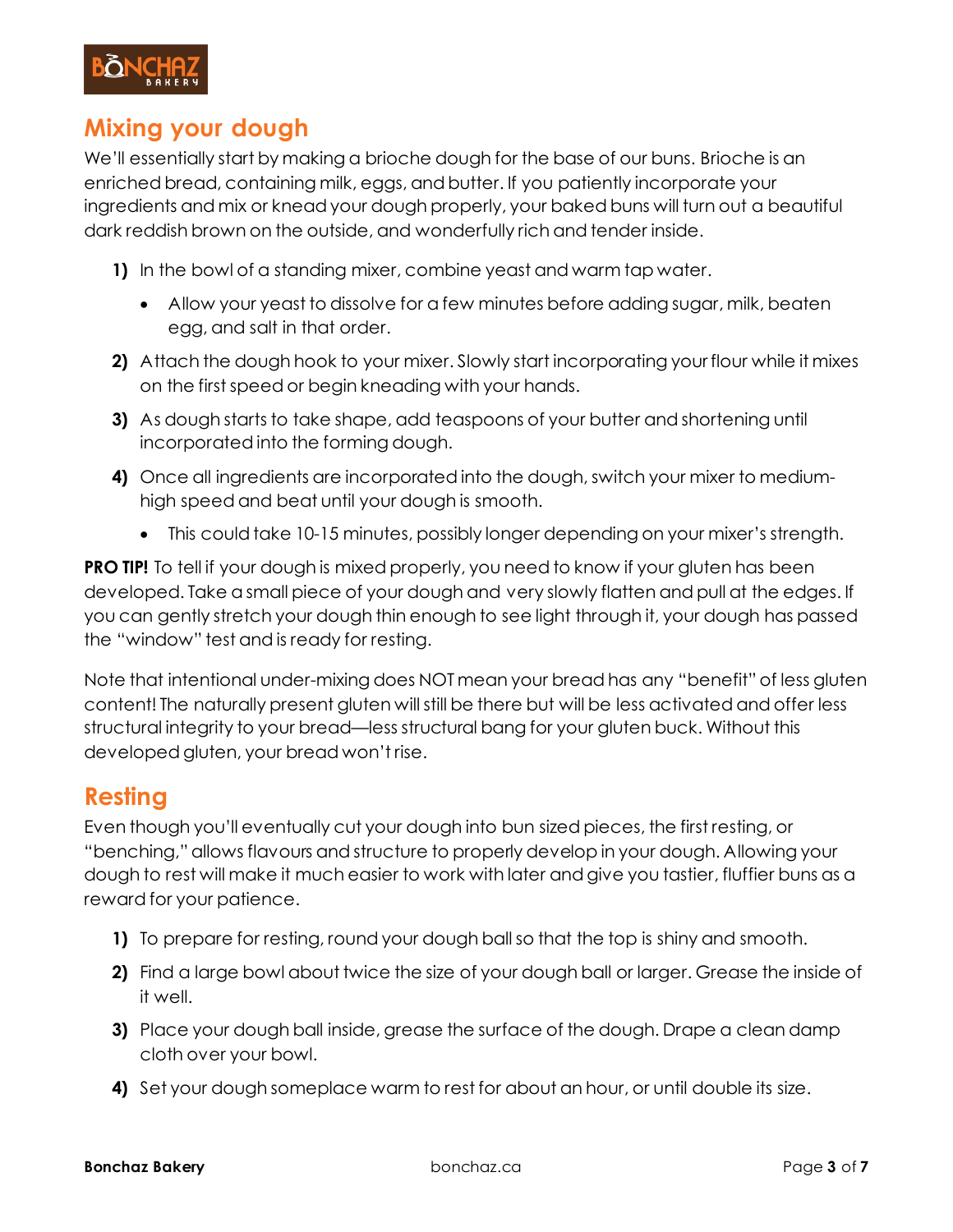

### **Mixing your dough**

We'll essentially start by making a brioche dough for the base of our buns. Brioche is an enriched bread, containing milk, eggs, and butter. If you patiently incorporate your ingredients and mix or knead your dough properly, your baked buns will turn out a beautiful dark reddish brown on the outside, and wonderfully rich and tender inside.

- **1)** In the bowl of a standing mixer, combine yeast and warm tap water.
	- Allow your yeast to dissolve for a few minutes before adding sugar, milk, beaten egg, and salt in that order.
- **2)** Attach the dough hook to your mixer. Slowly start incorporating your flour while it mixes on the first speed or begin kneading with your hands.
- **3)** As dough starts to take shape, add teaspoons of your butter and shortening until incorporated into the forming dough.
- **4)** Once all ingredients are incorporated into the dough, switch your mixer to mediumhigh speed and beat until your dough is smooth.
	- This could take 10-15 minutes, possibly longer depending on your mixer's strength.

**PRO TIP!** To tell if your dough is mixed properly, you need to know if your gluten has been developed. Take a small piece of your dough and very slowly flatten and pull at the edges. If you can gently stretch your dough thin enough to see light through it, your dough has passed the "window" test and is ready for resting.

Note that intentional under-mixing does NOT mean your bread has any "benefit" of less gluten content! The naturally present gluten will still be there but will be less activated and offer less structural integrity to your bread—less structural bang for your gluten buck. Without this developed gluten, your bread won't rise.

### **Resting**

Even though you'll eventually cut your dough into bun sized pieces, the first resting, or "benching," allows flavours and structure to properly develop in your dough. Allowing your dough to rest will make it much easier to work with later and give you tastier, fluffier buns as a reward for your patience.

- **1)** To prepare for resting, round your dough ball so that the top is shiny and smooth.
- **2)** Find a large bowl about twice the size of your dough ball or larger. Grease the inside of it well.
- **3)** Place your dough ball inside, grease the surface of the dough. Drape a clean damp cloth over your bowl.
- **4)** Set your dough someplace warm to rest for about an hour, or until double its size.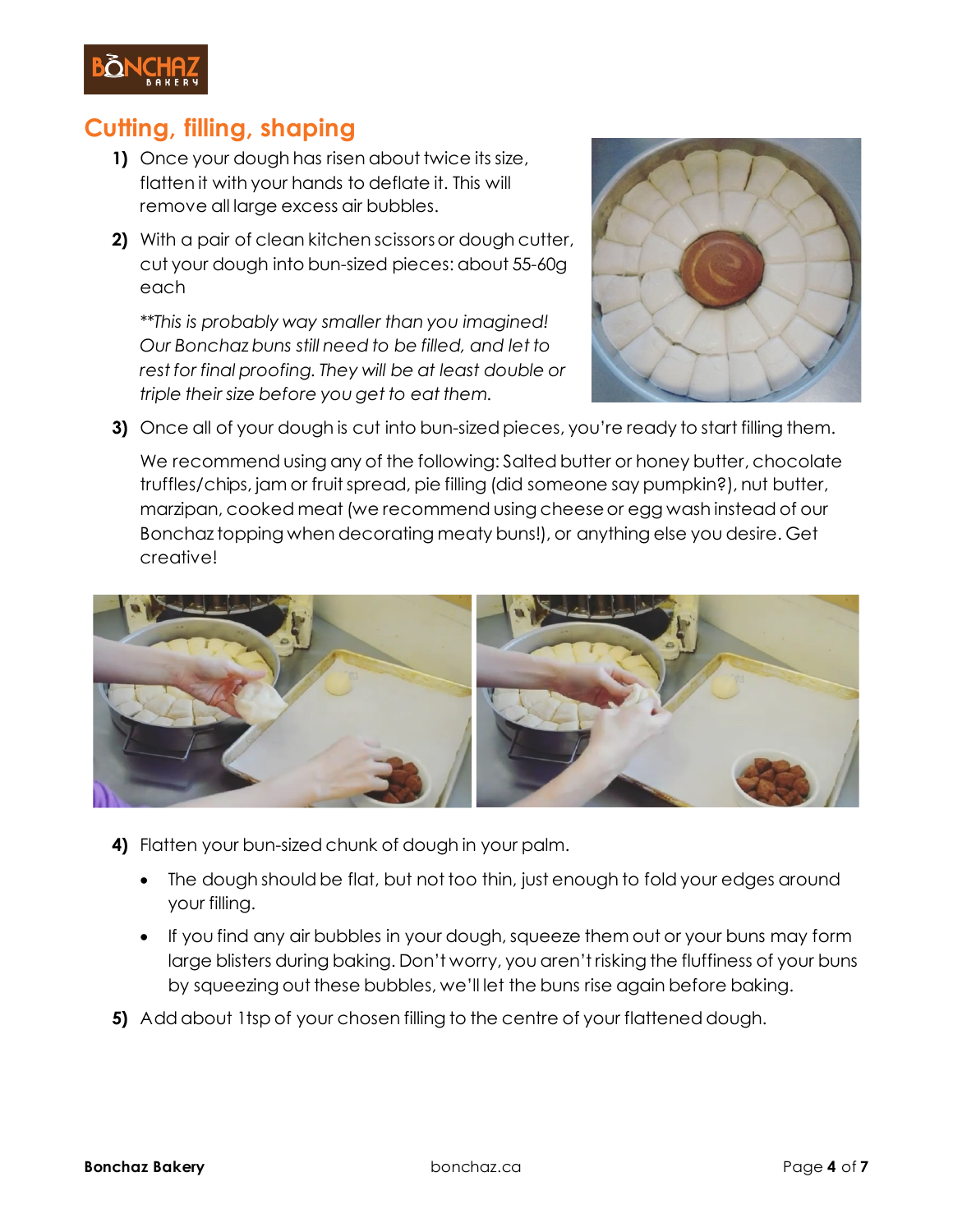

# **Cutting, filling, shaping**

- **1)** Once your dough has risen about twice its size, flatten it with your hands to deflate it. This will remove all large excess air bubbles.
- **2)** With a pair of clean kitchen scissors or dough cutter, cut your dough into bun-sized pieces: about 55-60g each

*\*\*This is probably way smaller than you imagined! Our Bonchaz buns still need to be filled, and let to rest for final proofing. They will be at least double or triple their size before you get to eat them.*



**3)** Once all of your dough is cut into bun-sized pieces, you're ready to start filling them.

We recommend using any of the following: Salted butter or honey butter, chocolate truffles/chips, jam or fruit spread, pie filling (did someone say pumpkin?), nut butter, marzipan, cooked meat (we recommend using cheese or egg wash instead of our Bonchaz topping when decorating meaty buns!), or anything else you desire. Get creative!



- **4)** Flatten your bun-sized chunk of dough in your palm.
	- The dough should be flat, but not too thin, just enough to fold your edges around your filling.
	- If you find any air bubbles in your dough, squeeze them out or your buns may form large blisters during baking. Don't worry, you aren't risking the fluffiness of your buns by squeezing out these bubbles, we'll let the buns rise again before baking.
- **5)** Add about 1tsp of your chosen filling to the centre of your flattened dough.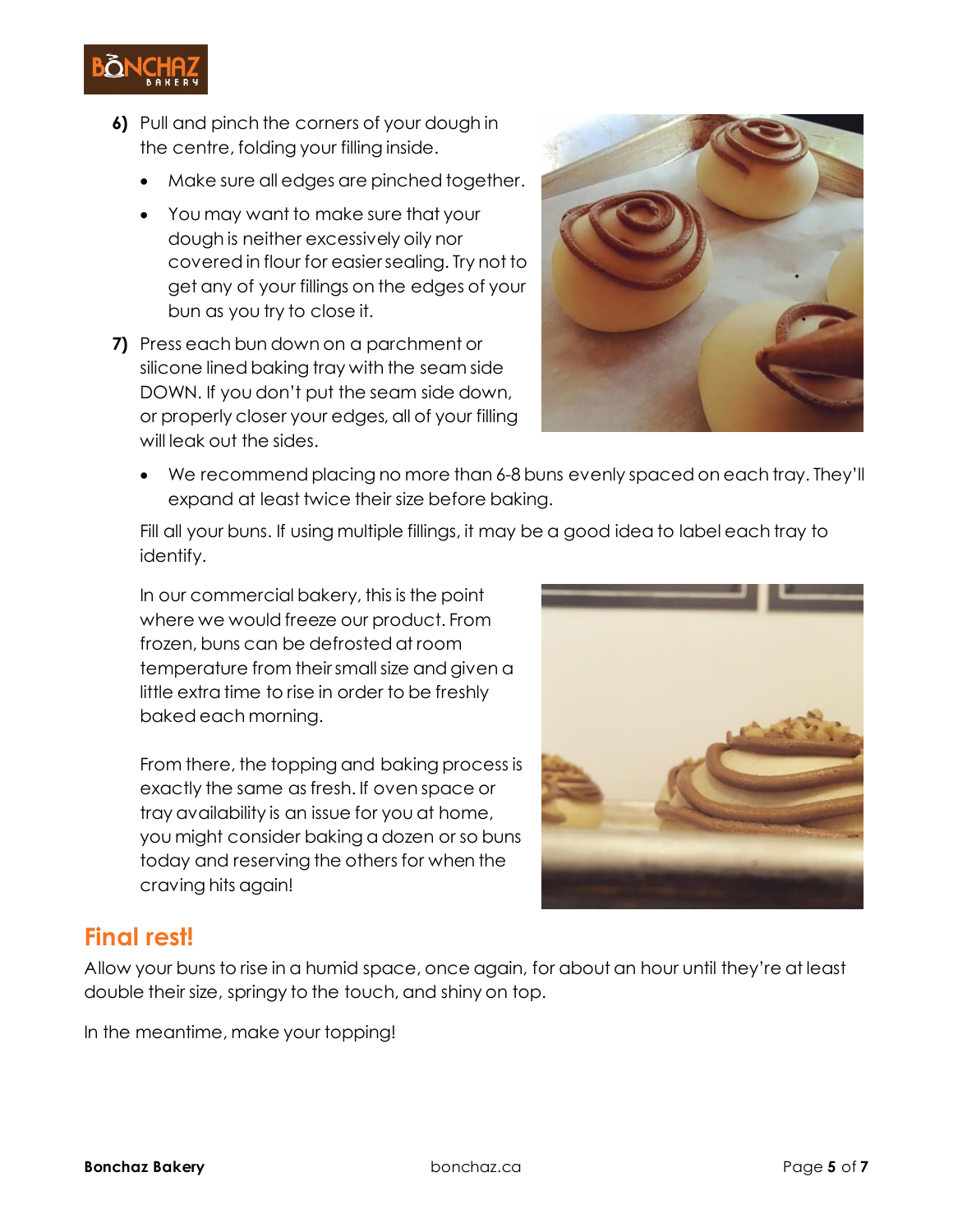**6)** Pull and pinch the corners of your dough in the centre, folding your filling inside.

- Make sure all edges are pinched together.
- You may want to make sure that your dough is neither excessively oily nor covered in flour for easier sealing. Try not to get any of your fillings on the edges of your bun as you try to close it.
- **7)** Press each bun down on a parchment or silicone lined baking tray with the seam side DOWN. If you don't put the seam side down, or properly closer your edges, all of your filling will leak out the sides.



• We recommend placing no more than 6-8 buns evenly spaced on each tray. They'll expand at least twice their size before baking.

Fill all your buns. If using multiple fillings, it may be a good idea to label each tray to identify.

In our commercial bakery, this is the point where we would freeze our product. From frozen, buns can be defrosted at room temperature from their small size and given a little extra time to rise in order to be freshly baked each morning.

From there, the topping and baking process is exactly the same as fresh. If oven space or tray availability is an issue for you at home, you might consider baking a dozen or so buns today and reserving the others for when the craving hits again!



### **Final rest!**

Allow your buns to rise in a humid space, once again, for about an hour until they're at least double their size, springy to the touch, and shiny on top.

In the meantime, make your topping!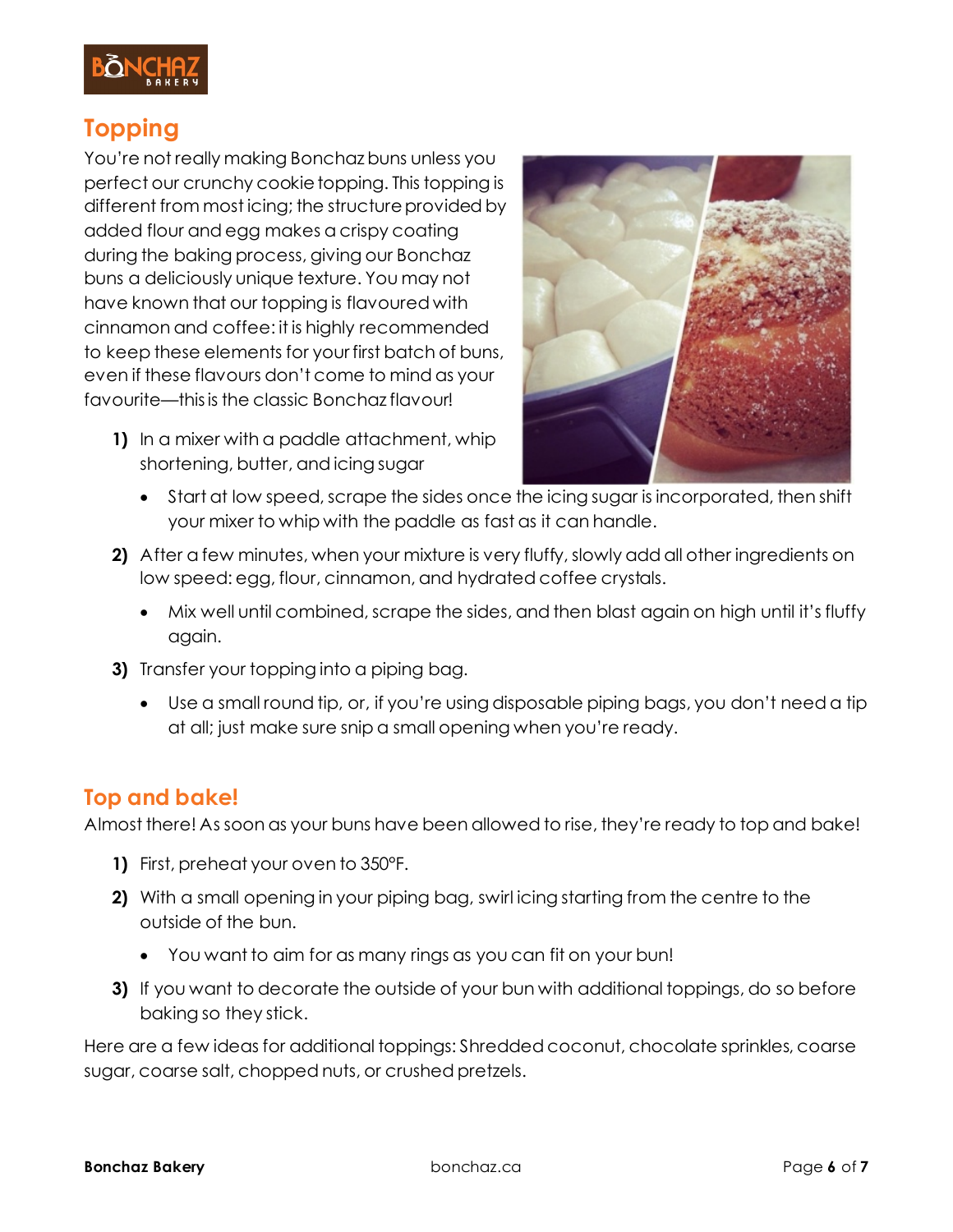

# **Topping**

You're not really making Bonchaz buns unless you perfect our crunchy cookie topping. This topping is different from most icing; the structure provided by added flour and egg makes a crispy coating during the baking process, giving our Bonchaz buns a deliciously unique texture. You may not have known that our topping is flavoured with cinnamon and coffee: it is highly recommended to keep these elements for your first batch of buns, even if these flavours don't come to mind as your favourite—this is the classic Bonchaz flavour!

**1)** In a mixer with a paddle attachment, whip shortening, butter, and icing sugar



- Start at low speed, scrape the sides once the icing sugar is incorporated, then shift your mixer to whip with the paddle as fast as it can handle.
- **2)** After a few minutes, when your mixture is very fluffy, slowly add all other ingredients on low speed: egg, flour, cinnamon, and hydrated coffee crystals.
	- Mix well until combined, scrape the sides, and then blast again on high until it's fluffy again.
- **3)** Transfer your topping into a piping bag.
	- Use a small round tip, or, if you're using disposable piping bags, you don't need a tip at all; just make sure snip a small opening when you're ready.

### **Top and bake!**

Almost there! As soon as your buns have been allowed to rise, they're ready to top and bake!

- **1)** First, preheat your oven to 350°F.
- **2)** With a small opening in your piping bag, swirl icing starting from the centre to the outside of the bun.
	- You want to aim for as many rings as you can fit on your bun!
- **3)** If you want to decorate the outside of your bun with additional toppings, do so before baking so they stick.

Here are a few ideas for additional toppings: Shredded coconut, chocolate sprinkles, coarse sugar, coarse salt, chopped nuts, or crushed pretzels.